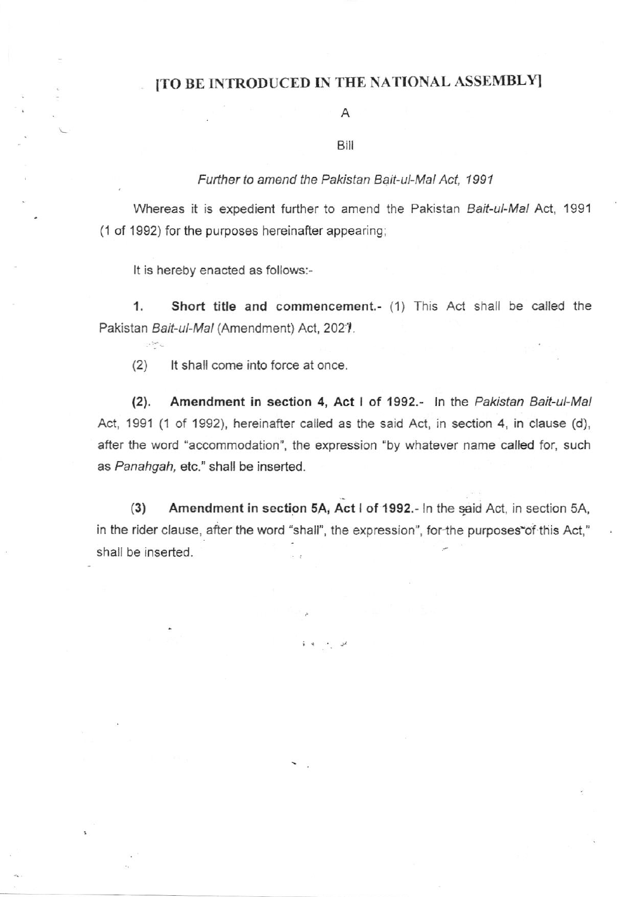### [TO BE INTRODUCED IN THE NATIONAL ASSEMBLY]

#### A

#### Bill

#### Further to amend the Pakistan Bait-ul-Mal Act. 1991

Whereas it is expedient further to amend the Pakistan Bait-ul-Mal Act, 1991 (1 of 1992) for the purposes hereinafter appearing;

It is hereby enacted as follows:-

 $\cdot$   $\ddot{\cdot}$ 

1. Short title and commencement.- (1) This Act shall be called the Pakistan Bait-ul-Mal (Amendment) Act, 2021.

It shall come into force at once.  $(2)$ 

Amendment in section 4, Act I of 1992.- In the Pakistan Bait-ul-Mal  $(2).$ Act, 1991 (1 of 1992), hereinafter called as the said Act, in section 4, in clause (d), after the word "accommodation", the expression "by whatever name called for, such as Panahgah, etc." shall be inserted.

Amendment in section 5A, Act I of 1992.- In the said Act, in section 5A,  $(3)$ in the rider clause, after the word "shall", the expression", for the purposes of this Act," shall be inserted.

مر بن له لا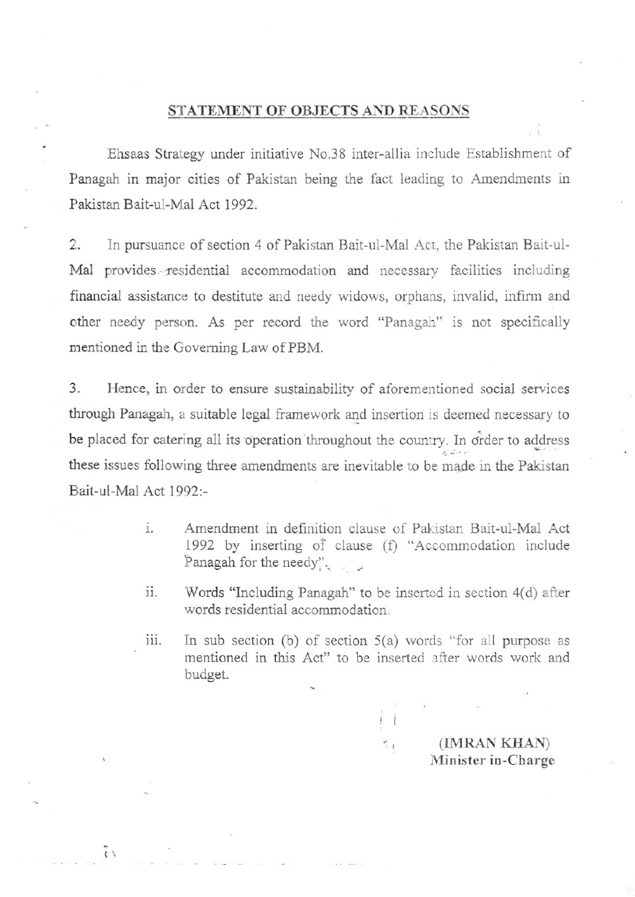#### STATEMENT OF OBJECTS AND REASONS

Ehsaas Strategy under initiative No.38 inter-allia include Establishment of Panagah in major cities of Pakistan being the fact leading to Amendments in Pakistan Bait-ul-Mal Act 1992.

2. In pursuance of section 4 of Pakistan Bait-ul-Mal Act, the Pakistan Bait-ul-Mal provides residential accommodation and necessary facilities including financial assistance to destitute and needy widows, orphans, invalid, infirm and other needy person. As per record the word "Panagah" is not specifically mentioned in the Goveming Law of PBM.

3. Hence, in order to ensure sustainability of aforementioned social services through Panagah, a suitable legal framework and insertion is deemed necessary to be placed for catering all its operation throughout the country. In order to address these issues following three amendments are inevitable to be made in the Pakistan Bait-ul-Mal Act 1992:-

- $\mathbf{i}$ . Amendment in definition clause of Pakistan Bait-ul-Mai Act 1992 by inserting of clause (f) "Accommodation include Panagah for the needy". -
- t1. Words "Including Panagah" to be inserted in section 4(d) after words residential accommodation.
- iii. In sub section (b) of section  $5(a)$  words "for all purpose as mentioned in this Act" to be inserted after words work and budget.

 $\frac{1}{l}$ 

t',

(IMRAN KIIAN) Minister in-Charge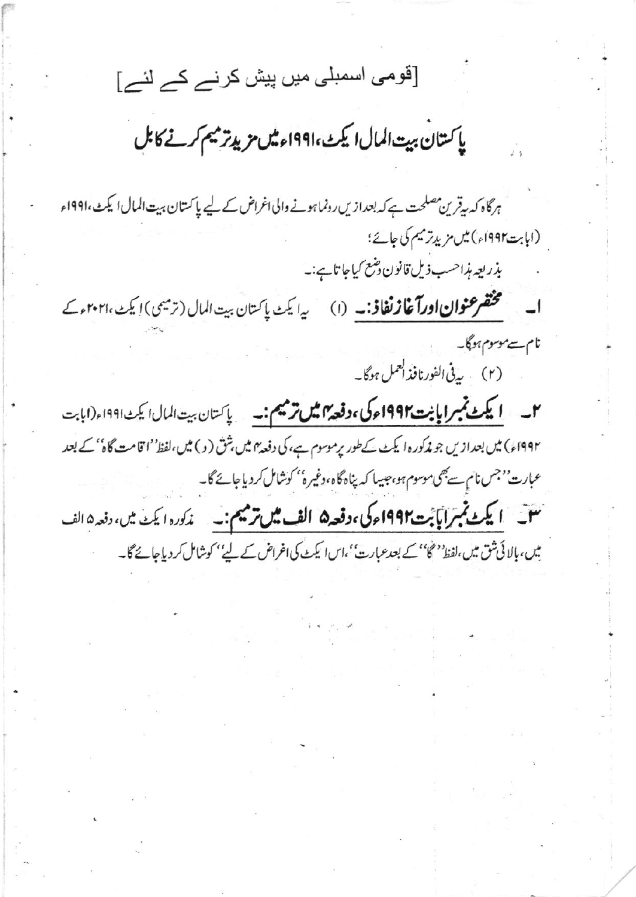[قومی اسمبلی میں پیش کرنے کے لئے]

# ياكستان بيت المال اليكث،١٩٩١ء ميس مزيد ترميم كرنے كابل

ہرگاہ کہ بیقرین مصلحت ہے کہ بعدازیں رونما ہونے والی اغراض کے لیے پاکستان بیت المال ایکٹ،۱۹۹۱ء (ابابت۱۹۹۲ء) میں مزید ترمیم کی جائے؛ بذريعه مذاحسب ذيل قانون وشع كياجاتا ہے:۔ محتقر عنوان اورآغازنفاذ: ـ (۱) یہ ایکٹ پاکستان بیت المال (ترمیمی) ایکٹ ۲۰۲۰ء کے نام سے موسوم ہوگا۔ (۲) یہ فی الفورنافذ العمل ہوگا۔ ۲\_\_ **ایکٹ نمبرا بابت1991ء کی ،دفعہ میں ترمیم:۔\_** پاکستان بیت المال ایکٹ1991ء(ابابت

۱۹۹۲ء) میں بعدازیں جو مذکورہ ایکٹ کےطور پرموسوم ہے، کی دفعہ ہیں بثق ( د ) میں،لفظ''اقامت گاہ'' کے بعد عبارت''جس نام سے بھی موسوم ہو، جیسا کہ پناہ گاہ، دغیرہ'' کوشامل کر دیاجائے گا۔

نسق اليكث تمبرآباً بت1997ء كى، وقعه۵ الف ميل ترميم: \_\_\_\_ *ندكوره ايكث ميں، دفع*ه الف میں، بالائی شق میں،لفظ''گا'' کے بعدعبارت'،اس ایکٹ کی اغراض کے لیے'' کوشامل کردیاجائے گا۔